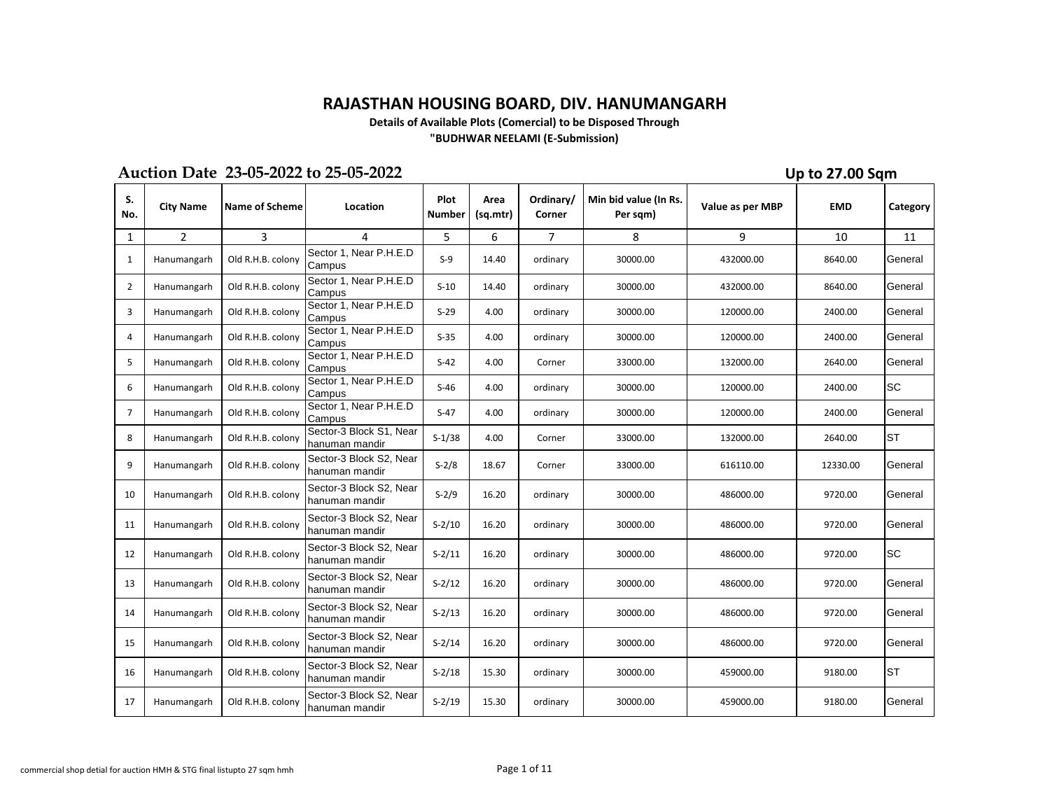## **RAJASTHAN HOUSING BOARD, DIV. HANUMANGARH**

**Details of Available Plots (Comercial) to be Disposed Through "BUDHWAR NEELAMI (E-Submission)**

## **Auction Date 23-05-2022 to 25-05-2022**

**Up to 27.00 Sqm**

| S.<br>No.      | <b>City Name</b> | <b>Name of Scheme</b> | Location                                  | Plot<br>Number | Area<br>(sq.mtr) | Ordinary/<br>Corner | Min bid value (In Rs.<br>Per sqm) | Value as per MBP | <b>EMD</b> | Category  |
|----------------|------------------|-----------------------|-------------------------------------------|----------------|------------------|---------------------|-----------------------------------|------------------|------------|-----------|
| 1              | $\overline{2}$   | 3                     | 4                                         | 5              | 6                | 7                   | 8                                 | 9                | 10         | 11        |
| 1              | Hanumangarh      | Old R.H.B. colony     | Sector 1, Near P.H.E.D<br>Campus          | $S-9$          | 14.40            | ordinary            | 30000.00                          | 432000.00        | 8640.00    | General   |
| $\overline{2}$ | Hanumangarh      | Old R.H.B. colony     | Sector 1, Near P.H.E.D<br>Campus          | $S-10$         | 14.40            | ordinary            | 30000.00                          | 432000.00        | 8640.00    | General   |
| 3              | Hanumangarh      | Old R.H.B. colony     | Sector 1, Near P.H.E.D<br>Campus          | $S-29$         | 4.00             | ordinary            | 30000.00                          | 120000.00        | 2400.00    | General   |
| 4              | Hanumangarh      | Old R.H.B. colony     | Sector 1, Near P.H.E.D<br>Campus          | $S-35$         | 4.00             | ordinary            | 30000.00                          | 120000.00        | 2400.00    | General   |
| 5              | Hanumangarh      | Old R.H.B. colony     | Sector 1, Near P.H.E.D<br>Campus          | $S-42$         | 4.00             | Corner              | 33000.00                          | 132000.00        | 2640.00    | General   |
| 6              | Hanumangarh      | Old R.H.B. colony     | Sector 1, Near P.H.E.D<br>Campus          | S-46           | 4.00             | ordinary            | 30000.00                          | 120000.00        | 2400.00    | <b>SC</b> |
| 7              | Hanumangarh      | Old R.H.B. colony     | Sector 1, Near P.H.E.D<br>Campus          | $S-47$         | 4.00             | ordinary            | 30000.00                          | 120000.00        | 2400.00    | General   |
| 8              | Hanumangarh      | Old R.H.B. colony     | Sector-3 Block S1, Near<br>hanuman mandir | $S-1/38$       | 4.00             | Corner              | 33000.00                          | 132000.00        | 2640.00    | <b>ST</b> |
| 9              | Hanumangarh      | Old R.H.B. colony     | Sector-3 Block S2, Near<br>hanuman mandir | $S-2/8$        | 18.67            | Corner              | 33000.00                          | 616110.00        | 12330.00   | General   |
| 10             | Hanumangarh      | Old R.H.B. colony     | Sector-3 Block S2, Near<br>hanuman mandir | $S - 2/9$      | 16.20            | ordinary            | 30000.00                          | 486000.00        | 9720.00    | General   |
| 11             | Hanumangarh      | Old R.H.B. colony     | Sector-3 Block S2, Near<br>hanuman mandir | $S-2/10$       | 16.20            | ordinary            | 30000.00                          | 486000.00        | 9720.00    | General   |
| 12             | Hanumangarh      | Old R.H.B. colony     | Sector-3 Block S2, Near<br>hanuman mandir | $S-2/11$       | 16.20            | ordinary            | 30000.00                          | 486000.00        | 9720.00    | <b>SC</b> |
| 13             | Hanumangarh      | Old R.H.B. colony     | Sector-3 Block S2, Near<br>hanuman mandir | $S-2/12$       | 16.20            | ordinary            | 30000.00                          | 486000.00        | 9720.00    | General   |
| 14             | Hanumangarh      | Old R.H.B. colony     | Sector-3 Block S2, Near<br>hanuman mandir | $S-2/13$       | 16.20            | ordinary            | 30000.00                          | 486000.00        | 9720.00    | General   |
| 15             | Hanumangarh      | Old R.H.B. colony     | Sector-3 Block S2, Near<br>hanuman mandir | $S-2/14$       | 16.20            | ordinary            | 30000.00                          | 486000.00        | 9720.00    | General   |
| 16             | Hanumangarh      | Old R.H.B. colony     | Sector-3 Block S2, Near<br>hanuman mandir | $S-2/18$       | 15.30            | ordinary            | 30000.00                          | 459000.00        | 9180.00    | <b>ST</b> |
| 17             | Hanumangarh      | Old R.H.B. colony     | Sector-3 Block S2, Near<br>hanuman mandir | $S-2/19$       | 15.30            | ordinary            | 30000.00                          | 459000.00        | 9180.00    | General   |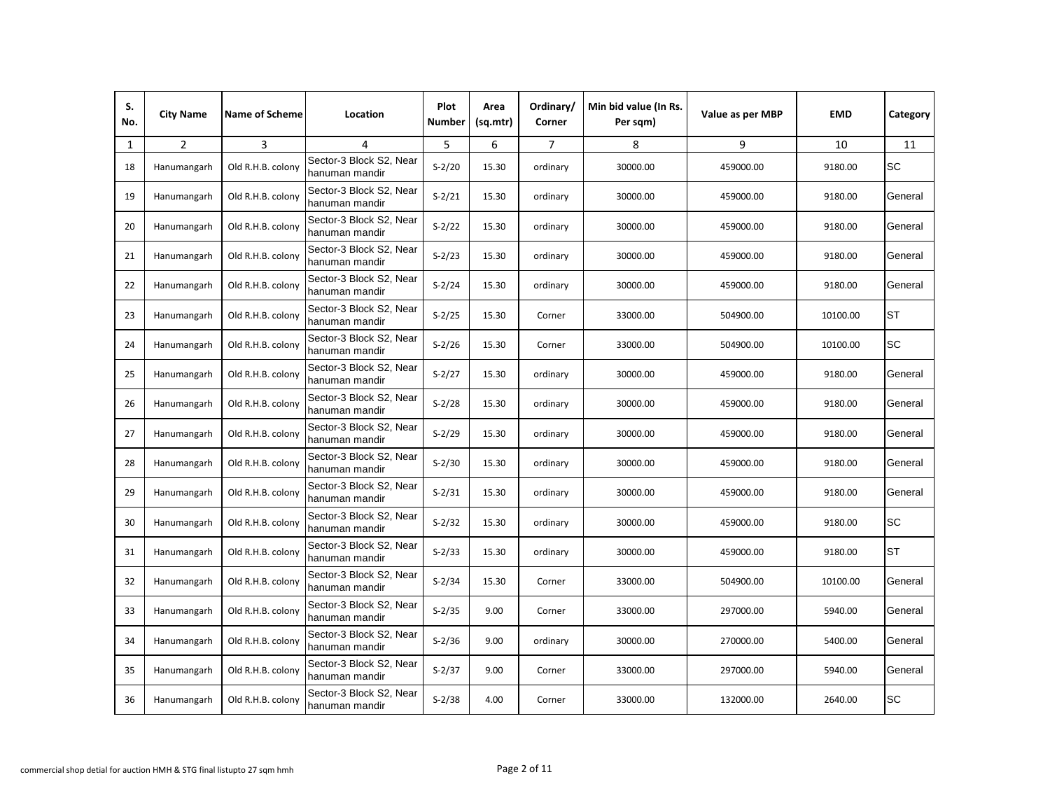| S.<br>No. | <b>City Name</b> | <b>Name of Scheme</b> | Location                                  | Plot<br><b>Number</b> | Area<br>(sq.mtr) | Ordinary/<br>Corner | Min bid value (In Rs.<br>Per sqm) | Value as per MBP | <b>EMD</b> | Category  |
|-----------|------------------|-----------------------|-------------------------------------------|-----------------------|------------------|---------------------|-----------------------------------|------------------|------------|-----------|
| 1         | $\overline{2}$   | 3                     | 4                                         | 5                     | 6                | $\overline{7}$      | 8                                 | 9                | 10         | 11        |
| 18        | Hanumangarh      | Old R.H.B. colony     | Sector-3 Block S2, Near<br>hanuman mandir | $S-2/20$              | 15.30            | ordinary            | 30000.00                          | 459000.00        | 9180.00    | SC        |
| 19        | Hanumangarh      | Old R.H.B. colony     | Sector-3 Block S2, Near<br>hanuman mandir | $S-2/21$              | 15.30            | ordinary            | 30000.00                          | 459000.00        | 9180.00    | General   |
| 20        | Hanumangarh      | Old R.H.B. colony     | Sector-3 Block S2, Near<br>hanuman mandir | $S-2/22$              | 15.30            | ordinary            | 30000.00                          | 459000.00        | 9180.00    | General   |
| 21        | Hanumangarh      | Old R.H.B. colony     | Sector-3 Block S2, Near<br>hanuman mandir | $S - 2/23$            | 15.30            | ordinary            | 30000.00                          | 459000.00        | 9180.00    | General   |
| 22        | Hanumangarh      | Old R.H.B. colony     | Sector-3 Block S2, Near<br>hanuman mandir | $S - 2/24$            | 15.30            | ordinary            | 30000.00                          | 459000.00        | 9180.00    | General   |
| 23        | Hanumangarh      | Old R.H.B. colony     | Sector-3 Block S2, Near<br>hanuman mandir | $S - 2/25$            | 15.30            | Corner              | 33000.00                          | 504900.00        | 10100.00   | <b>ST</b> |
| 24        | Hanumangarh      | Old R.H.B. colony     | Sector-3 Block S2, Near<br>hanuman mandir | $S-2/26$              | 15.30            | Corner              | 33000.00                          | 504900.00        | 10100.00   | SC        |
| 25        | Hanumangarh      | Old R.H.B. colony     | Sector-3 Block S2, Near<br>hanuman mandir | $S-2/27$              | 15.30            | ordinary            | 30000.00                          | 459000.00        | 9180.00    | General   |
| 26        | Hanumangarh      | Old R.H.B. colony     | Sector-3 Block S2, Near<br>hanuman mandir | $S-2/28$              | 15.30            | ordinary            | 30000.00                          | 459000.00        | 9180.00    | General   |
| 27        | Hanumangarh      | Old R.H.B. colony     | Sector-3 Block S2, Near<br>hanuman mandir | $S-2/29$              | 15.30            | ordinary            | 30000.00                          | 459000.00        | 9180.00    | General   |
| 28        | Hanumangarh      | Old R.H.B. colony     | Sector-3 Block S2, Near<br>hanuman mandir | $S-2/30$              | 15.30            | ordinary            | 30000.00                          | 459000.00        | 9180.00    | General   |
| 29        | Hanumangarh      | Old R.H.B. colony     | Sector-3 Block S2, Near<br>hanuman mandir | $S-2/31$              | 15.30            | ordinary            | 30000.00                          | 459000.00        | 9180.00    | General   |
| 30        | Hanumangarh      | Old R.H.B. colony     | Sector-3 Block S2, Near<br>hanuman mandir | $S-2/32$              | 15.30            | ordinary            | 30000.00                          | 459000.00        | 9180.00    | SC        |
| 31        | Hanumangarh      | Old R.H.B. colony     | Sector-3 Block S2, Near<br>hanuman mandir | $S-2/33$              | 15.30            | ordinary            | 30000.00                          | 459000.00        | 9180.00    | ST        |
| 32        | Hanumangarh      | Old R.H.B. colony     | Sector-3 Block S2, Near<br>hanuman mandir | $S - 2/34$            | 15.30            | Corner              | 33000.00                          | 504900.00        | 10100.00   | General   |
| 33        | Hanumangarh      | Old R.H.B. colony     | Sector-3 Block S2, Near<br>hanuman mandir | $S - 2/35$            | 9.00             | Corner              | 33000.00                          | 297000.00        | 5940.00    | General   |
| 34        | Hanumangarh      | Old R.H.B. colony     | Sector-3 Block S2, Near<br>hanuman mandir | $S-2/36$              | 9.00             | ordinary            | 30000.00                          | 270000.00        | 5400.00    | General   |
| 35        | Hanumangarh      | Old R.H.B. colony     | Sector-3 Block S2, Near<br>hanuman mandir | $S-2/37$              | 9.00             | Corner              | 33000.00                          | 297000.00        | 5940.00    | General   |
| 36        | Hanumangarh      | Old R.H.B. colony     | Sector-3 Block S2, Near<br>hanuman mandir | $S-2/38$              | 4.00             | Corner              | 33000.00                          | 132000.00        | 2640.00    | <b>SC</b> |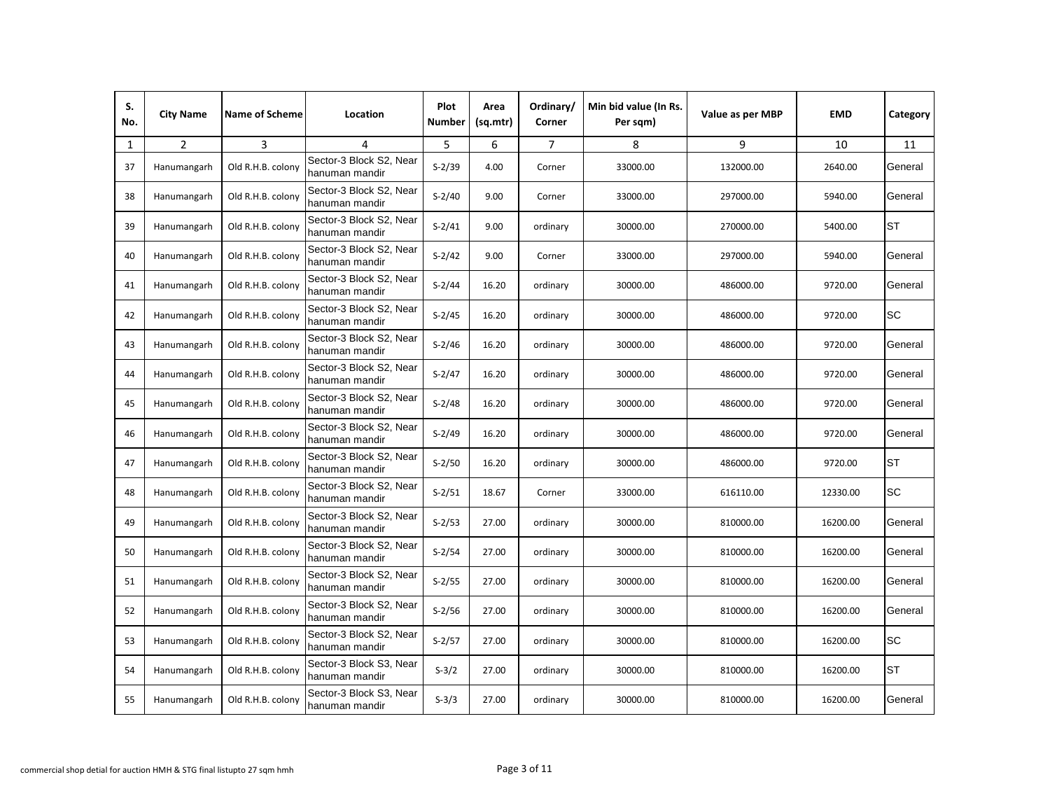| S.<br>No. | <b>City Name</b> | <b>Name of Scheme</b> | Location                                  | Plot<br><b>Number</b> | Area<br>(sq.mtr) | Ordinary/<br>Corner | Min bid value (In Rs.<br>Per sqm) | Value as per MBP | <b>EMD</b> | Category  |
|-----------|------------------|-----------------------|-------------------------------------------|-----------------------|------------------|---------------------|-----------------------------------|------------------|------------|-----------|
| 1         | $\overline{2}$   | 3                     | $\overline{4}$                            | 5                     | 6                | $\overline{7}$      | 8                                 | 9                | 10         | 11        |
| 37        | Hanumangarh      | Old R.H.B. colony     | Sector-3 Block S2, Near<br>hanuman mandir | $S - 2/39$            | 4.00             | Corner              | 33000.00                          | 132000.00        | 2640.00    | General   |
| 38        | Hanumangarh      | Old R.H.B. colony     | Sector-3 Block S2, Near<br>hanuman mandir | $S - 2/40$            | 9.00             | Corner              | 33000.00                          | 297000.00        | 5940.00    | General   |
| 39        | Hanumangarh      | Old R.H.B. colony     | Sector-3 Block S2, Near<br>hanuman mandir | $S-2/41$              | 9.00             | ordinary            | 30000.00                          | 270000.00        | 5400.00    | <b>ST</b> |
| 40        | Hanumangarh      | Old R.H.B. colony     | Sector-3 Block S2, Near<br>hanuman mandir | $S-2/42$              | 9.00             | Corner              | 33000.00                          | 297000.00        | 5940.00    | General   |
| 41        | Hanumangarh      | Old R.H.B. colony     | Sector-3 Block S2, Near<br>hanuman mandir | $S - 2/44$            | 16.20            | ordinary            | 30000.00                          | 486000.00        | 9720.00    | General   |
| 42        | Hanumangarh      | Old R.H.B. colony     | Sector-3 Block S2, Near<br>hanuman mandir | $S - 2/45$            | 16.20            | ordinary            | 30000.00                          | 486000.00        | 9720.00    | <b>SC</b> |
| 43        | Hanumangarh      | Old R.H.B. colony     | Sector-3 Block S2, Near<br>hanuman mandir | $S-2/46$              | 16.20            | ordinary            | 30000.00                          | 486000.00        | 9720.00    | General   |
| 44        | Hanumangarh      | Old R.H.B. colony     | Sector-3 Block S2, Near<br>hanuman mandir | $S-2/47$              | 16.20            | ordinary            | 30000.00                          | 486000.00        | 9720.00    | General   |
| 45        | Hanumangarh      | Old R.H.B. colony     | Sector-3 Block S2, Near<br>hanuman mandir | $S-2/48$              | 16.20            | ordinary            | 30000.00                          | 486000.00        | 9720.00    | General   |
| 46        | Hanumangarh      | Old R.H.B. colony     | Sector-3 Block S2, Near<br>hanuman mandir | $S - 2/49$            | 16.20            | ordinary            | 30000.00                          | 486000.00        | 9720.00    | General   |
| 47        | Hanumangarh      | Old R.H.B. colony     | Sector-3 Block S2, Near<br>hanuman mandir | $S-2/50$              | 16.20            | ordinary            | 30000.00                          | 486000.00        | 9720.00    | <b>ST</b> |
| 48        | Hanumangarh      | Old R.H.B. colony     | Sector-3 Block S2, Near<br>hanuman mandir | $S-2/51$              | 18.67            | Corner              | 33000.00                          | 616110.00        | 12330.00   | SC        |
| 49        | Hanumangarh      | Old R.H.B. colony     | Sector-3 Block S2, Near<br>hanuman mandir | $S-2/53$              | 27.00            | ordinary            | 30000.00                          | 810000.00        | 16200.00   | General   |
| 50        | Hanumangarh      | Old R.H.B. colony     | Sector-3 Block S2, Near<br>hanuman mandir | $S-2/54$              | 27.00            | ordinary            | 30000.00                          | 810000.00        | 16200.00   | General   |
| 51        | Hanumangarh      | Old R.H.B. colony     | Sector-3 Block S2, Near<br>hanuman mandir | $S-2/55$              | 27.00            | ordinary            | 30000.00                          | 810000.00        | 16200.00   | General   |
| 52        | Hanumangarh      | Old R.H.B. colony     | Sector-3 Block S2, Near<br>hanuman mandir | $S-2/56$              | 27.00            | ordinary            | 30000.00                          | 810000.00        | 16200.00   | General   |
| 53        | Hanumangarh      | Old R.H.B. colony     | Sector-3 Block S2, Near<br>hanuman mandir | $S-2/57$              | 27.00            | ordinary            | 30000.00                          | 810000.00        | 16200.00   | SC        |
| 54        | Hanumangarh      | Old R.H.B. colony     | Sector-3 Block S3, Near<br>hanuman mandir | $S-3/2$               | 27.00            | ordinary            | 30000.00                          | 810000.00        | 16200.00   | <b>ST</b> |
| 55        | Hanumangarh      | Old R.H.B. colony     | Sector-3 Block S3, Near<br>hanuman mandir | $S-3/3$               | 27.00            | ordinary            | 30000.00                          | 810000.00        | 16200.00   | General   |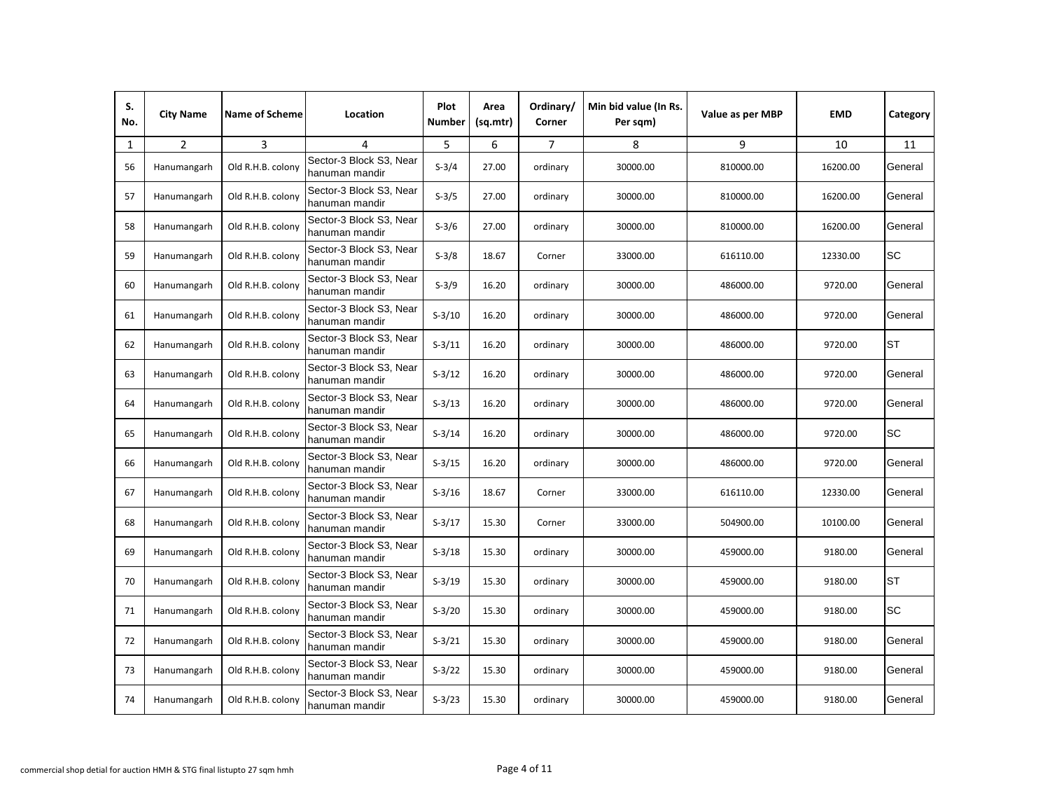| S.<br>No. | <b>City Name</b> | <b>Name of Scheme</b> | Location                                  | Plot<br><b>Number</b> | Area<br>(sq.mtr) | Ordinary/<br>Corner | Min bid value (In Rs.<br>Per sqm) | Value as per MBP | <b>EMD</b> | Category  |
|-----------|------------------|-----------------------|-------------------------------------------|-----------------------|------------------|---------------------|-----------------------------------|------------------|------------|-----------|
| 1         | $\overline{2}$   | 3                     | $\overline{4}$                            | 5                     | 6                | $\overline{7}$      | 8                                 | 9                | 10         | 11        |
| 56        | Hanumangarh      | Old R.H.B. colony     | Sector-3 Block S3, Near<br>hanuman mandir | $S-3/4$               | 27.00            | ordinary            | 30000.00                          | 810000.00        | 16200.00   | General   |
| 57        | Hanumangarh      | Old R.H.B. colony     | Sector-3 Block S3, Near<br>hanuman mandir | $S-3/5$               | 27.00            | ordinary            | 30000.00                          | 810000.00        | 16200.00   | General   |
| 58        | Hanumangarh      | Old R.H.B. colony     | Sector-3 Block S3, Near<br>hanuman mandir | $S-3/6$               | 27.00            | ordinary            | 30000.00                          | 810000.00        | 16200.00   | General   |
| 59        | Hanumangarh      | Old R.H.B. colony     | Sector-3 Block S3, Near<br>hanuman mandir | $S-3/8$               | 18.67            | Corner              | 33000.00                          | 616110.00        | 12330.00   | <b>SC</b> |
| 60        | Hanumangarh      | Old R.H.B. colony     | Sector-3 Block S3, Near<br>hanuman mandir | $S-3/9$               | 16.20            | ordinary            | 30000.00                          | 486000.00        | 9720.00    | General   |
| 61        | Hanumangarh      | Old R.H.B. colony     | Sector-3 Block S3, Near<br>hanuman mandir | $S-3/10$              | 16.20            | ordinary            | 30000.00                          | 486000.00        | 9720.00    | General   |
| 62        | Hanumangarh      | Old R.H.B. colony     | Sector-3 Block S3, Near<br>hanuman mandir | $S-3/11$              | 16.20            | ordinary            | 30000.00                          | 486000.00        | 9720.00    | ST        |
| 63        | Hanumangarh      | Old R.H.B. colony     | Sector-3 Block S3, Near<br>hanuman mandir | $S-3/12$              | 16.20            | ordinary            | 30000.00                          | 486000.00        | 9720.00    | General   |
| 64        | Hanumangarh      | Old R.H.B. colony     | Sector-3 Block S3, Near<br>hanuman mandir | $S-3/13$              | 16.20            | ordinary            | 30000.00                          | 486000.00        | 9720.00    | General   |
| 65        | Hanumangarh      | Old R.H.B. colony     | Sector-3 Block S3, Near<br>hanuman mandir | $S-3/14$              | 16.20            | ordinary            | 30000.00                          | 486000.00        | 9720.00    | SC        |
| 66        | Hanumangarh      | Old R.H.B. colony     | Sector-3 Block S3, Near<br>hanuman mandir | $S-3/15$              | 16.20            | ordinary            | 30000.00                          | 486000.00        | 9720.00    | General   |
| 67        | Hanumangarh      | Old R.H.B. colony     | Sector-3 Block S3, Near<br>hanuman mandir | $S-3/16$              | 18.67            | Corner              | 33000.00                          | 616110.00        | 12330.00   | General   |
| 68        | Hanumangarh      | Old R.H.B. colony     | Sector-3 Block S3, Near<br>hanuman mandir | $S-3/17$              | 15.30            | Corner              | 33000.00                          | 504900.00        | 10100.00   | General   |
| 69        | Hanumangarh      | Old R.H.B. colony     | Sector-3 Block S3, Near<br>hanuman mandir | $S-3/18$              | 15.30            | ordinary            | 30000.00                          | 459000.00        | 9180.00    | General   |
| 70        | Hanumangarh      | Old R.H.B. colony     | Sector-3 Block S3, Near<br>hanuman mandir | $S-3/19$              | 15.30            | ordinary            | 30000.00                          | 459000.00        | 9180.00    | <b>ST</b> |
| 71        | Hanumangarh      | Old R.H.B. colony     | Sector-3 Block S3, Near<br>hanuman mandir | $S-3/20$              | 15.30            | ordinary            | 30000.00                          | 459000.00        | 9180.00    | SC        |
| 72        | Hanumangarh      | Old R.H.B. colony     | Sector-3 Block S3, Near<br>hanuman mandir | $S-3/21$              | 15.30            | ordinary            | 30000.00                          | 459000.00        | 9180.00    | General   |
| 73        | Hanumangarh      | Old R.H.B. colony     | Sector-3 Block S3, Near<br>hanuman mandir | $S-3/22$              | 15.30            | ordinary            | 30000.00                          | 459000.00        | 9180.00    | General   |
| 74        | Hanumangarh      | Old R.H.B. colony     | Sector-3 Block S3, Near<br>hanuman mandir | $S-3/23$              | 15.30            | ordinary            | 30000.00                          | 459000.00        | 9180.00    | General   |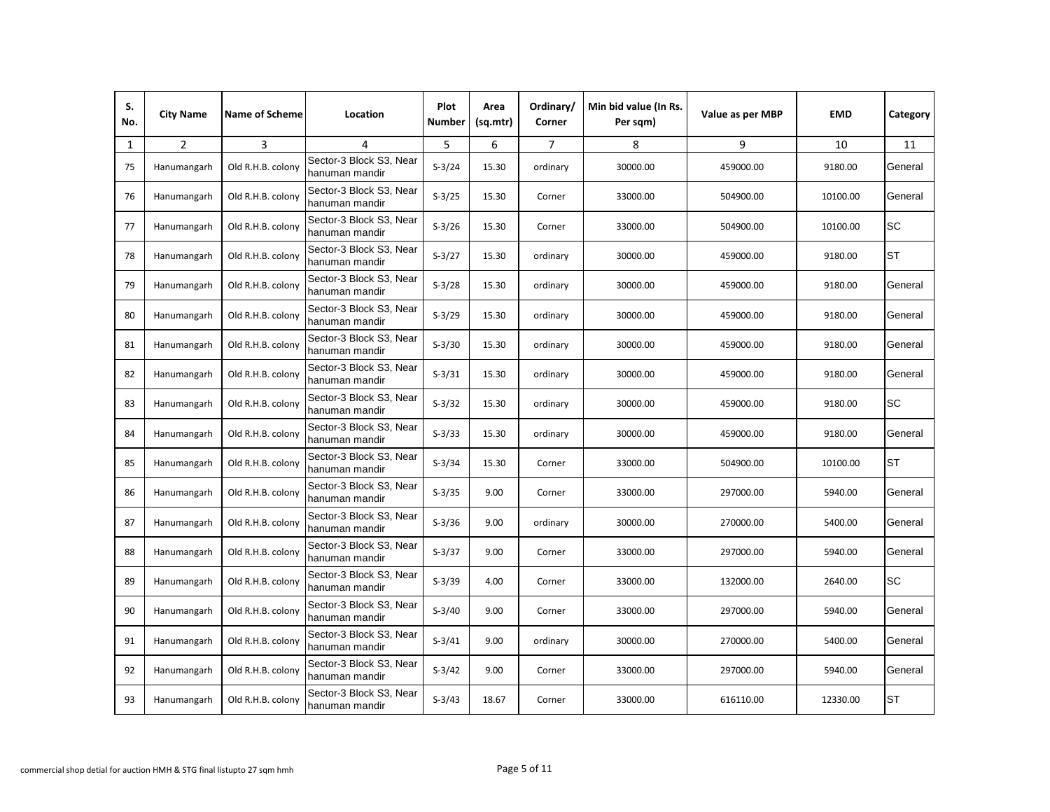| S.<br>No. | <b>City Name</b> | <b>Name of Scheme</b> | Location                                  | Plot<br>Number | Area<br>(sq.mtr) | Ordinary/<br>Corner | Min bid value (In Rs.<br>Per sqm) | Value as per MBP | <b>EMD</b> | Category  |
|-----------|------------------|-----------------------|-------------------------------------------|----------------|------------------|---------------------|-----------------------------------|------------------|------------|-----------|
| 1         | $\overline{2}$   | 3                     | 4                                         | 5              | 6                | $\overline{7}$      | 8                                 | 9                | 10         | 11        |
| 75        | Hanumangarh      | Old R.H.B. colony     | Sector-3 Block S3, Near<br>hanuman mandir | $S-3/24$       | 15.30            | ordinary            | 30000.00                          | 459000.00        | 9180.00    | General   |
| 76        | Hanumangarh      | Old R.H.B. colony     | Sector-3 Block S3, Near<br>hanuman mandir | $S-3/25$       | 15.30            | Corner              | 33000.00                          | 504900.00        | 10100.00   | General   |
| 77        | Hanumangarh      | Old R.H.B. colony     | Sector-3 Block S3, Near<br>hanuman mandir | $S-3/26$       | 15.30            | Corner              | 33000.00                          | 504900.00        | 10100.00   | SC        |
| 78        | Hanumangarh      | Old R.H.B. colony     | Sector-3 Block S3, Near<br>hanuman mandir | $S-3/27$       | 15.30            | ordinary            | 30000.00                          | 459000.00        | 9180.00    | <b>ST</b> |
| 79        | Hanumangarh      | Old R.H.B. colony     | Sector-3 Block S3, Near<br>hanuman mandir | $S-3/28$       | 15.30            | ordinary            | 30000.00                          | 459000.00        | 9180.00    | General   |
| 80        | Hanumangarh      | Old R.H.B. colony     | Sector-3 Block S3, Near<br>hanuman mandir | $S-3/29$       | 15.30            | ordinary            | 30000.00                          | 459000.00        | 9180.00    | General   |
| 81        | Hanumangarh      | Old R.H.B. colony     | Sector-3 Block S3, Near<br>hanuman mandir | $S-3/30$       | 15.30            | ordinary            | 30000.00                          | 459000.00        | 9180.00    | General   |
| 82        | Hanumangarh      | Old R.H.B. colony     | Sector-3 Block S3. Near<br>hanuman mandir | $S-3/31$       | 15.30            | ordinary            | 30000.00                          | 459000.00        | 9180.00    | General   |
| 83        | Hanumangarh      | Old R.H.B. colony     | Sector-3 Block S3, Near<br>hanuman mandir | $S-3/32$       | 15.30            | ordinary            | 30000.00                          | 459000.00        | 9180.00    | SC        |
| 84        | Hanumangarh      | Old R.H.B. colony     | Sector-3 Block S3, Near<br>hanuman mandir | $S-3/33$       | 15.30            | ordinary            | 30000.00                          | 459000.00        | 9180.00    | General   |
| 85        | Hanumangarh      | Old R.H.B. colony     | Sector-3 Block S3, Near<br>hanuman mandir | $S-3/34$       | 15.30            | Corner              | 33000.00                          | 504900.00        | 10100.00   | <b>ST</b> |
| 86        | Hanumangarh      | Old R.H.B. colony     | Sector-3 Block S3, Near<br>hanuman mandir | $S-3/35$       | 9.00             | Corner              | 33000.00                          | 297000.00        | 5940.00    | General   |
| 87        | Hanumangarh      | Old R.H.B. colony     | Sector-3 Block S3, Near<br>hanuman mandir | $S-3/36$       | 9.00             | ordinary            | 30000.00                          | 270000.00        | 5400.00    | General   |
| 88        | Hanumangarh      | Old R.H.B. colony     | Sector-3 Block S3, Near<br>hanuman mandir | $S-3/37$       | 9.00             | Corner              | 33000.00                          | 297000.00        | 5940.00    | General   |
| 89        | Hanumangarh      | Old R.H.B. colony     | Sector-3 Block S3, Near<br>hanuman mandir | $S-3/39$       | 4.00             | Corner              | 33000.00                          | 132000.00        | 2640.00    | <b>SC</b> |
| 90        | Hanumangarh      | Old R.H.B. colony     | Sector-3 Block S3, Near<br>hanuman mandir | $S-3/40$       | 9.00             | Corner              | 33000.00                          | 297000.00        | 5940.00    | General   |
| 91        | Hanumangarh      | Old R.H.B. colony     | Sector-3 Block S3, Near<br>hanuman mandir | $S-3/41$       | 9.00             | ordinary            | 30000.00                          | 270000.00        | 5400.00    | General   |
| 92        | Hanumangarh      | Old R.H.B. colony     | Sector-3 Block S3, Near<br>hanuman mandir | $S-3/42$       | 9.00             | Corner              | 33000.00                          | 297000.00        | 5940.00    | General   |
| 93        | Hanumangarh      | Old R.H.B. colony     | Sector-3 Block S3, Near<br>hanuman mandir | $S-3/43$       | 18.67            | Corner              | 33000.00                          | 616110.00        | 12330.00   | <b>ST</b> |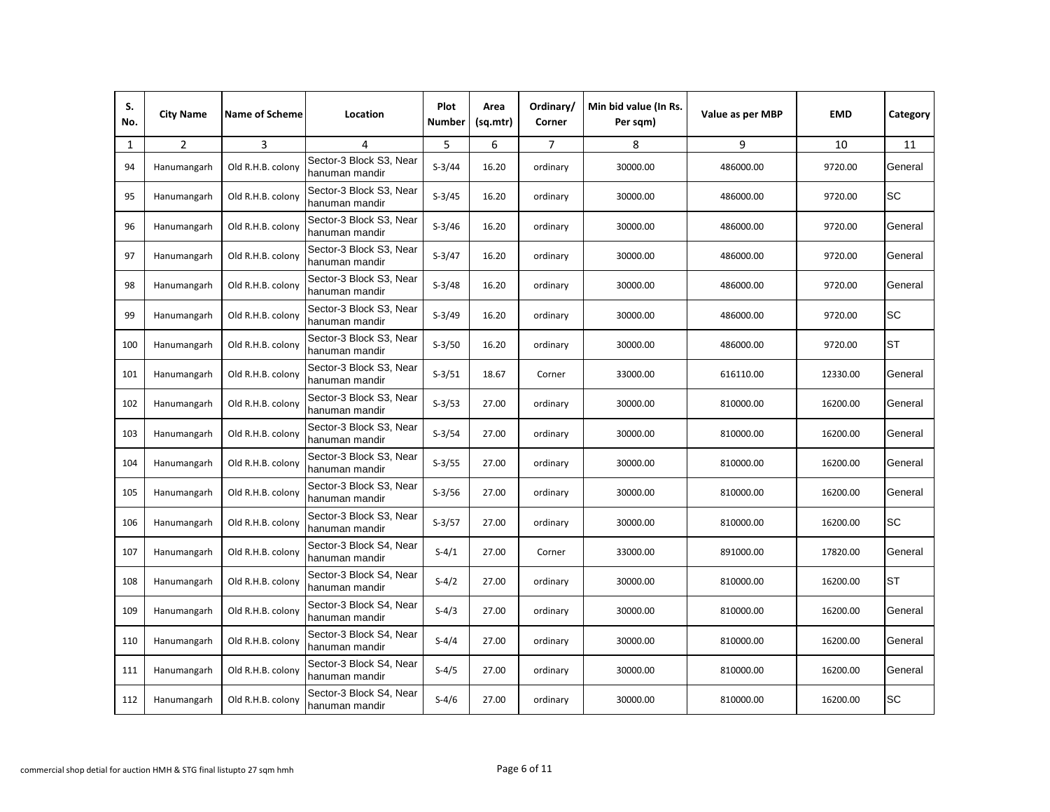| S.<br>No. | <b>City Name</b> | <b>Name of Scheme</b> | Location                                  | Plot<br><b>Number</b> | Area<br>(sq.mtr) | Ordinary/<br>Corner | Min bid value (In Rs.<br>Per sqm) | Value as per MBP | <b>EMD</b> | Category  |
|-----------|------------------|-----------------------|-------------------------------------------|-----------------------|------------------|---------------------|-----------------------------------|------------------|------------|-----------|
| 1         | $\overline{2}$   | 3                     | $\overline{4}$                            | 5                     | 6                | $\overline{7}$      | 8                                 | 9                | 10         | 11        |
| 94        | Hanumangarh      | Old R.H.B. colony     | Sector-3 Block S3, Near<br>hanuman mandir | $S-3/44$              | 16.20            | ordinary            | 30000.00                          | 486000.00        | 9720.00    | General   |
| 95        | Hanumangarh      | Old R.H.B. colony     | Sector-3 Block S3, Near<br>hanuman mandir | $S-3/45$              | 16.20            | ordinary            | 30000.00                          | 486000.00        | 9720.00    | SC        |
| 96        | Hanumangarh      | Old R.H.B. colony     | Sector-3 Block S3, Near<br>hanuman mandir | $S-3/46$              | 16.20            | ordinary            | 30000.00                          | 486000.00        | 9720.00    | General   |
| 97        | Hanumangarh      | Old R.H.B. colony     | Sector-3 Block S3, Near<br>hanuman mandir | $S-3/47$              | 16.20            | ordinary            | 30000.00                          | 486000.00        | 9720.00    | General   |
| 98        | Hanumangarh      | Old R.H.B. colony     | Sector-3 Block S3, Near<br>hanuman mandir | $S-3/48$              | 16.20            | ordinary            | 30000.00                          | 486000.00        | 9720.00    | General   |
| 99        | Hanumangarh      | Old R.H.B. colony     | Sector-3 Block S3, Near<br>hanuman mandir | $S-3/49$              | 16.20            | ordinary            | 30000.00                          | 486000.00        | 9720.00    | <b>SC</b> |
| 100       | Hanumangarh      | Old R.H.B. colony     | Sector-3 Block S3, Near<br>hanuman mandir | $S-3/50$              | 16.20            | ordinary            | 30000.00                          | 486000.00        | 9720.00    | ST        |
| 101       | Hanumangarh      | Old R.H.B. colony     | Sector-3 Block S3, Near<br>hanuman mandir | $S-3/51$              | 18.67            | Corner              | 33000.00                          | 616110.00        | 12330.00   | General   |
| 102       | Hanumangarh      | Old R.H.B. colony     | Sector-3 Block S3, Near<br>hanuman mandir | $S-3/53$              | 27.00            | ordinary            | 30000.00                          | 810000.00        | 16200.00   | General   |
| 103       | Hanumangarh      | Old R.H.B. colony     | Sector-3 Block S3, Near<br>hanuman mandir | $S-3/54$              | 27.00            | ordinary            | 30000.00                          | 810000.00        | 16200.00   | General   |
| 104       | Hanumangarh      | Old R.H.B. colony     | Sector-3 Block S3, Near<br>hanuman mandir | $S-3/55$              | 27.00            | ordinary            | 30000.00                          | 810000.00        | 16200.00   | General   |
| 105       | Hanumangarh      | Old R.H.B. colony     | Sector-3 Block S3, Near<br>hanuman mandir | $S-3/56$              | 27.00            | ordinary            | 30000.00                          | 810000.00        | 16200.00   | General   |
| 106       | Hanumangarh      | Old R.H.B. colony     | Sector-3 Block S3, Near<br>hanuman mandir | $S-3/57$              | 27.00            | ordinary            | 30000.00                          | 810000.00        | 16200.00   | SC        |
| 107       | Hanumangarh      | Old R.H.B. colony     | Sector-3 Block S4, Near<br>hanuman mandir | $S-4/1$               | 27.00            | Corner              | 33000.00                          | 891000.00        | 17820.00   | General   |
| 108       | Hanumangarh      | Old R.H.B. colony     | Sector-3 Block S4, Near<br>hanuman mandir | $S-4/2$               | 27.00            | ordinary            | 30000.00                          | 810000.00        | 16200.00   | <b>ST</b> |
| 109       | Hanumangarh      | Old R.H.B. colony     | Sector-3 Block S4, Near<br>hanuman mandir | $S-4/3$               | 27.00            | ordinary            | 30000.00                          | 810000.00        | 16200.00   | General   |
| 110       | Hanumangarh      | Old R.H.B. colony     | Sector-3 Block S4, Near<br>hanuman mandir | $S-4/4$               | 27.00            | ordinary            | 30000.00                          | 810000.00        | 16200.00   | General   |
| 111       | Hanumangarh      | Old R.H.B. colony     | Sector-3 Block S4, Near<br>hanuman mandir | $S-4/5$               | 27.00            | ordinary            | 30000.00                          | 810000.00        | 16200.00   | General   |
| 112       | Hanumangarh      | Old R.H.B. colony     | Sector-3 Block S4, Near<br>hanuman mandir | $S-4/6$               | 27.00            | ordinary            | 30000.00                          | 810000.00        | 16200.00   | <b>SC</b> |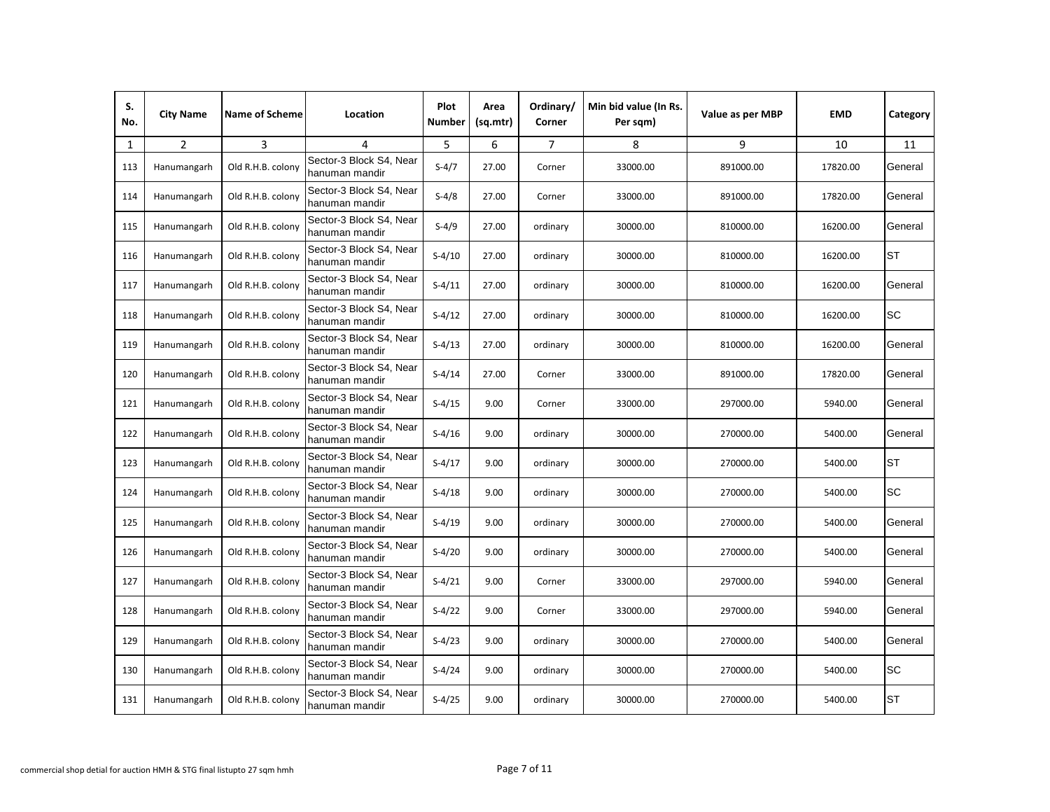| S.<br>No. | <b>City Name</b> | <b>Name of Scheme</b> | Location                                  | Plot<br>Number | Area<br>(sq.mtr) | Ordinary/<br>Corner | Min bid value (In Rs.<br>Per sqm) | Value as per MBP | <b>EMD</b> | Category  |
|-----------|------------------|-----------------------|-------------------------------------------|----------------|------------------|---------------------|-----------------------------------|------------------|------------|-----------|
| 1         | $\overline{2}$   | 3                     | 4                                         | 5              | 6                | $\overline{7}$      | 8                                 | 9                | 10         | 11        |
| 113       | Hanumangarh      | Old R.H.B. colony     | Sector-3 Block S4, Near<br>hanuman mandir | $S-4/7$        | 27.00            | Corner              | 33000.00                          | 891000.00        | 17820.00   | General   |
| 114       | Hanumangarh      | Old R.H.B. colony     | Sector-3 Block S4, Near<br>hanuman mandir | $S-4/8$        | 27.00            | Corner              | 33000.00                          | 891000.00        | 17820.00   | General   |
| 115       | Hanumangarh      | Old R.H.B. colony     | Sector-3 Block S4, Near<br>hanuman mandir | $S-4/9$        | 27.00            | ordinary            | 30000.00                          | 810000.00        | 16200.00   | General   |
| 116       | Hanumangarh      | Old R.H.B. colony     | Sector-3 Block S4, Near<br>hanuman mandir | $S-4/10$       | 27.00            | ordinary            | 30000.00                          | 810000.00        | 16200.00   | <b>ST</b> |
| 117       | Hanumangarh      | Old R.H.B. colony     | Sector-3 Block S4, Near<br>hanuman mandir | $S-4/11$       | 27.00            | ordinary            | 30000.00                          | 810000.00        | 16200.00   | General   |
| 118       | Hanumangarh      | Old R.H.B. colony     | Sector-3 Block S4, Near<br>hanuman mandir | $S-4/12$       | 27.00            | ordinary            | 30000.00                          | 810000.00        | 16200.00   | <b>SC</b> |
| 119       | Hanumangarh      | Old R.H.B. colony     | Sector-3 Block S4, Near<br>hanuman mandir | $S-4/13$       | 27.00            | ordinary            | 30000.00                          | 810000.00        | 16200.00   | General   |
| 120       | Hanumangarh      | Old R.H.B. colony     | Sector-3 Block S4. Near<br>hanuman mandir | $S-4/14$       | 27.00            | Corner              | 33000.00                          | 891000.00        | 17820.00   | General   |
| 121       | Hanumangarh      | Old R.H.B. colony     | Sector-3 Block S4, Near<br>hanuman mandir | $S-4/15$       | 9.00             | Corner              | 33000.00                          | 297000.00        | 5940.00    | General   |
| 122       | Hanumangarh      | Old R.H.B. colony     | Sector-3 Block S4, Near<br>hanuman mandir | $S-4/16$       | 9.00             | ordinary            | 30000.00                          | 270000.00        | 5400.00    | General   |
| 123       | Hanumangarh      | Old R.H.B. colony     | Sector-3 Block S4, Near<br>hanuman mandir | $S-4/17$       | 9.00             | ordinary            | 30000.00                          | 270000.00        | 5400.00    | <b>ST</b> |
| 124       | Hanumangarh      | Old R.H.B. colony     | Sector-3 Block S4, Near<br>hanuman mandir | $S-4/18$       | 9.00             | ordinary            | 30000.00                          | 270000.00        | 5400.00    | <b>SC</b> |
| 125       | Hanumangarh      | Old R.H.B. colony     | Sector-3 Block S4, Near<br>hanuman mandir | $S-4/19$       | 9.00             | ordinary            | 30000.00                          | 270000.00        | 5400.00    | General   |
| 126       | Hanumangarh      | Old R.H.B. colony     | Sector-3 Block S4, Near<br>hanuman mandir | $S-4/20$       | 9.00             | ordinary            | 30000.00                          | 270000.00        | 5400.00    | General   |
| 127       | Hanumangarh      | Old R.H.B. colony     | Sector-3 Block S4, Near<br>hanuman mandir | $S-4/21$       | 9.00             | Corner              | 33000.00                          | 297000.00        | 5940.00    | General   |
| 128       | Hanumangarh      | Old R.H.B. colony     | Sector-3 Block S4, Near<br>hanuman mandir | $S-4/22$       | 9.00             | Corner              | 33000.00                          | 297000.00        | 5940.00    | General   |
| 129       | Hanumangarh      | Old R.H.B. colony     | Sector-3 Block S4, Near<br>hanuman mandir | $S-4/23$       | 9.00             | ordinary            | 30000.00                          | 270000.00        | 5400.00    | General   |
| 130       | Hanumangarh      | Old R.H.B. colony     | Sector-3 Block S4, Near<br>hanuman mandir | $S-4/24$       | 9.00             | ordinary            | 30000.00                          | 270000.00        | 5400.00    | <b>SC</b> |
| 131       | Hanumangarh      | Old R.H.B. colony     | Sector-3 Block S4, Near<br>hanuman mandir | $S-4/25$       | 9.00             | ordinary            | 30000.00                          | 270000.00        | 5400.00    | <b>ST</b> |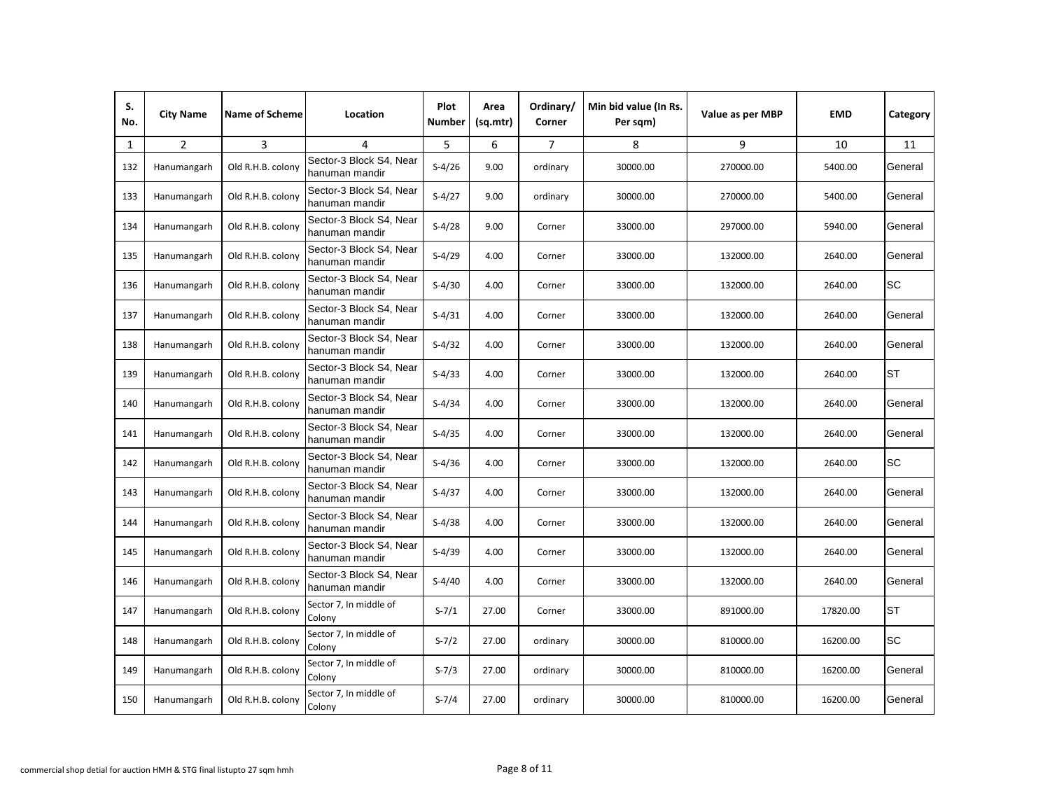| S.<br>No. | <b>City Name</b> | <b>Name of Scheme</b> | Location                                  | Plot<br>Number | Area<br>(sq.mtr) | Ordinary<br>Corner | Min bid value (In Rs.<br>Per sqm) | Value as per MBP | <b>EMD</b> | Category  |
|-----------|------------------|-----------------------|-------------------------------------------|----------------|------------------|--------------------|-----------------------------------|------------------|------------|-----------|
| 1         | $\overline{2}$   | 3                     | 4                                         | 5              | 6                | $\overline{7}$     | 8                                 | 9                | 10         | 11        |
| 132       | Hanumangarh      | Old R.H.B. colony     | Sector-3 Block S4, Near<br>hanuman mandir | $S-4/26$       | 9.00             | ordinary           | 30000.00                          | 270000.00        | 5400.00    | General   |
| 133       | Hanumangarh      | Old R.H.B. colony     | Sector-3 Block S4, Near<br>hanuman mandir | $S-4/27$       | 9.00             | ordinary           | 30000.00                          | 270000.00        | 5400.00    | General   |
| 134       | Hanumangarh      | Old R.H.B. colony     | Sector-3 Block S4, Near<br>hanuman mandir | $S-4/28$       | 9.00             | Corner             | 33000.00                          | 297000.00        | 5940.00    | General   |
| 135       | Hanumangarh      | Old R.H.B. colony     | Sector-3 Block S4, Near<br>hanuman mandir | $S-4/29$       | 4.00             | Corner             | 33000.00                          | 132000.00        | 2640.00    | General   |
| 136       | Hanumangarh      | Old R.H.B. colony     | Sector-3 Block S4, Near<br>hanuman mandir | $S-4/30$       | 4.00             | Corner             | 33000.00                          | 132000.00        | 2640.00    | SC        |
| 137       | Hanumangarh      | Old R.H.B. colony     | Sector-3 Block S4, Near<br>hanuman mandir | $S-4/31$       | 4.00             | Corner             | 33000.00                          | 132000.00        | 2640.00    | General   |
| 138       | Hanumangarh      | Old R.H.B. colony     | Sector-3 Block S4, Near<br>hanuman mandir | $S-4/32$       | 4.00             | Corner             | 33000.00                          | 132000.00        | 2640.00    | General   |
| 139       | Hanumangarh      | Old R.H.B. colony     | Sector-3 Block S4, Near<br>hanuman mandir | $S-4/33$       | 4.00             | Corner             | 33000.00                          | 132000.00        | 2640.00    | <b>ST</b> |
| 140       | Hanumangarh      | Old R.H.B. colony     | Sector-3 Block S4, Near<br>hanuman mandir | $S-4/34$       | 4.00             | Corner             | 33000.00                          | 132000.00        | 2640.00    | General   |
| 141       | Hanumangarh      | Old R.H.B. colony     | Sector-3 Block S4, Near<br>hanuman mandir | $S-4/35$       | 4.00             | Corner             | 33000.00                          | 132000.00        | 2640.00    | General   |
| 142       | Hanumangarh      | Old R.H.B. colony     | Sector-3 Block S4, Near<br>hanuman mandir | $S-4/36$       | 4.00             | Corner             | 33000.00                          | 132000.00        | 2640.00    | <b>SC</b> |
| 143       | Hanumangarh      | Old R.H.B. colony     | Sector-3 Block S4, Near<br>hanuman mandir | $S-4/37$       | 4.00             | Corner             | 33000.00                          | 132000.00        | 2640.00    | General   |
| 144       | Hanumangarh      | Old R.H.B. colony     | Sector-3 Block S4, Near<br>hanuman mandir | $S-4/38$       | 4.00             | Corner             | 33000.00                          | 132000.00        | 2640.00    | General   |
| 145       | Hanumangarh      | Old R.H.B. colony     | Sector-3 Block S4, Near<br>hanuman mandir | $S-4/39$       | 4.00             | Corner             | 33000.00                          | 132000.00        | 2640.00    | General   |
| 146       | Hanumangarh      | Old R.H.B. colony     | Sector-3 Block S4, Near<br>hanuman mandir | $S-4/40$       | 4.00             | Corner             | 33000.00                          | 132000.00        | 2640.00    | General   |
| 147       | Hanumangarh      | Old R.H.B. colony     | Sector 7, In middle of<br>Colony          | $S - 7/1$      | 27.00            | Corner             | 33000.00                          | 891000.00        | 17820.00   | ST        |
| 148       | Hanumangarh      | Old R.H.B. colony     | Sector 7, In middle of<br>Colony          | $S - 7/2$      | 27.00            | ordinary           | 30000.00                          | 810000.00        | 16200.00   | <b>SC</b> |
| 149       | Hanumangarh      | Old R.H.B. colony     | Sector 7, In middle of<br>Colony          | $S - 7/3$      | 27.00            | ordinary           | 30000.00                          | 810000.00        | 16200.00   | General   |
| 150       | Hanumangarh      | Old R.H.B. colony     | Sector 7, In middle of<br>Colony          | $S - 7/4$      | 27.00            | ordinary           | 30000.00                          | 810000.00        | 16200.00   | General   |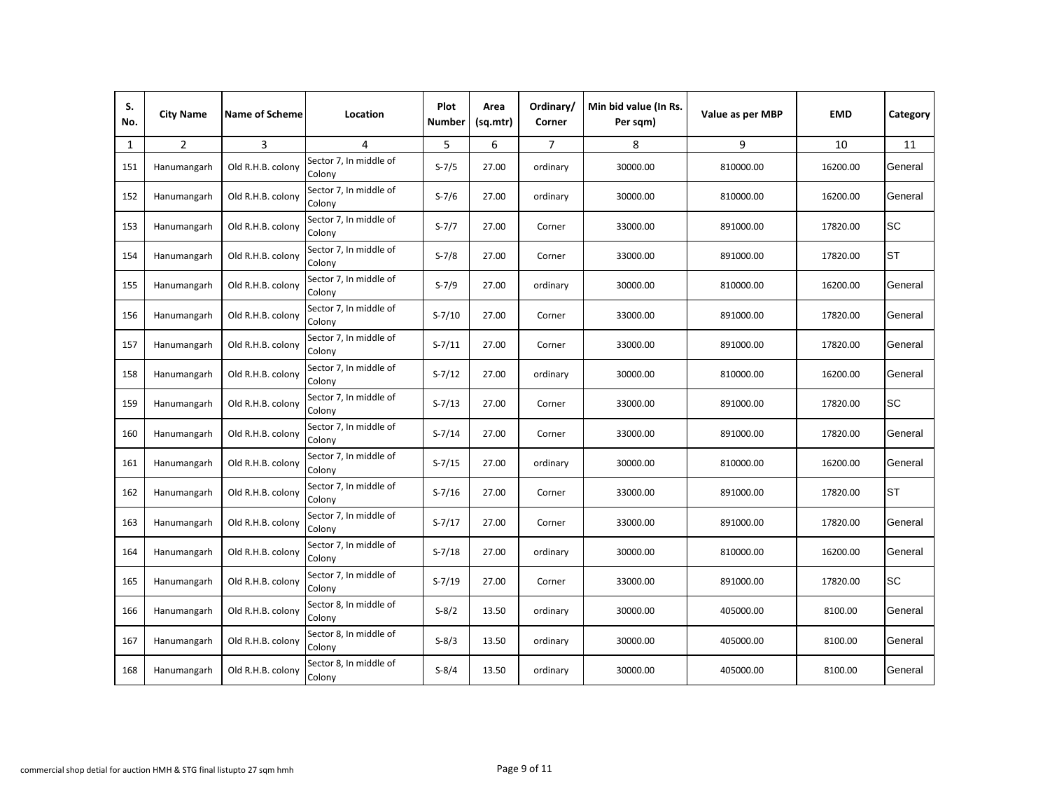| S.<br>No. | <b>City Name</b> | <b>Name of Scheme</b> | Location                         | Plot<br><b>Number</b> | Area<br>(sq.mtr) | Ordinary/<br>Corner | Min bid value (In Rs.<br>Per sqm) | Value as per MBP | <b>EMD</b> | Category  |
|-----------|------------------|-----------------------|----------------------------------|-----------------------|------------------|---------------------|-----------------------------------|------------------|------------|-----------|
| 1         | $\overline{2}$   | 3                     | 4                                | 5                     | 6                | $\overline{7}$      | 8                                 | 9                | 10         | 11        |
| 151       | Hanumangarh      | Old R.H.B. colony     | Sector 7, In middle of<br>Colony | $S - 7/5$             | 27.00            | ordinary            | 30000.00                          | 810000.00        | 16200.00   | General   |
| 152       | Hanumangarh      | Old R.H.B. colony     | Sector 7, In middle of<br>Colony | $S - 7/6$             | 27.00            | ordinary            | 30000.00                          | 810000.00        | 16200.00   | General   |
| 153       | Hanumangarh      | Old R.H.B. colony     | Sector 7, In middle of<br>Colony | $S - 7/7$             | 27.00            | Corner              | 33000.00                          | 891000.00        | 17820.00   | <b>SC</b> |
| 154       | Hanumangarh      | Old R.H.B. colony     | Sector 7, In middle of<br>Colony | $S - 7/8$             | 27.00            | Corner              | 33000.00                          | 891000.00        | 17820.00   | <b>ST</b> |
| 155       | Hanumangarh      | Old R.H.B. colony     | Sector 7, In middle of<br>Colony | $S - 7/9$             | 27.00            | ordinary            | 30000.00                          | 810000.00        | 16200.00   | General   |
| 156       | Hanumangarh      | Old R.H.B. colony     | Sector 7, In middle of<br>Colony | $S - 7/10$            | 27.00            | Corner              | 33000.00                          | 891000.00        | 17820.00   | General   |
| 157       | Hanumangarh      | Old R.H.B. colony     | Sector 7, In middle of<br>Colony | $S - 7/11$            | 27.00            | Corner              | 33000.00                          | 891000.00        | 17820.00   | General   |
| 158       | Hanumangarh      | Old R.H.B. colony     | Sector 7, In middle of<br>Colony | $S - 7/12$            | 27.00            | ordinary            | 30000.00                          | 810000.00        | 16200.00   | General   |
| 159       | Hanumangarh      | Old R.H.B. colony     | Sector 7, In middle of<br>Colony | $S - 7/13$            | 27.00            | Corner              | 33000.00                          | 891000.00        | 17820.00   | <b>SC</b> |
| 160       | Hanumangarh      | Old R.H.B. colony     | Sector 7, In middle of<br>Colony | $S - 7/14$            | 27.00            | Corner              | 33000.00                          | 891000.00        | 17820.00   | General   |
| 161       | Hanumangarh      | Old R.H.B. colony     | Sector 7, In middle of<br>Colony | $S - 7/15$            | 27.00            | ordinary            | 30000.00                          | 810000.00        | 16200.00   | General   |
| 162       | Hanumangarh      | Old R.H.B. colony     | Sector 7, In middle of<br>Colony | $S - 7/16$            | 27.00            | Corner              | 33000.00                          | 891000.00        | 17820.00   | <b>ST</b> |
| 163       | Hanumangarh      | Old R.H.B. colony     | Sector 7, In middle of<br>Colony | $S - 7/17$            | 27.00            | Corner              | 33000.00                          | 891000.00        | 17820.00   | General   |
| 164       | Hanumangarh      | Old R.H.B. colony     | Sector 7, In middle of<br>Colony | $S - 7/18$            | 27.00            | ordinary            | 30000.00                          | 810000.00        | 16200.00   | General   |
| 165       | Hanumangarh      | Old R.H.B. colony     | Sector 7, In middle of<br>Colony | $S - 7/19$            | 27.00            | Corner              | 33000.00                          | 891000.00        | 17820.00   | <b>SC</b> |
| 166       | Hanumangarh      | Old R.H.B. colony     | Sector 8, In middle of<br>Colony | $S-8/2$               | 13.50            | ordinary            | 30000.00                          | 405000.00        | 8100.00    | General   |
| 167       | Hanumangarh      | Old R.H.B. colony     | Sector 8, In middle of<br>Colony | $S-8/3$               | 13.50            | ordinary            | 30000.00                          | 405000.00        | 8100.00    | General   |
| 168       | Hanumangarh      | Old R.H.B. colony     | Sector 8, In middle of<br>Colony | $S-8/4$               | 13.50            | ordinary            | 30000.00                          | 405000.00        | 8100.00    | General   |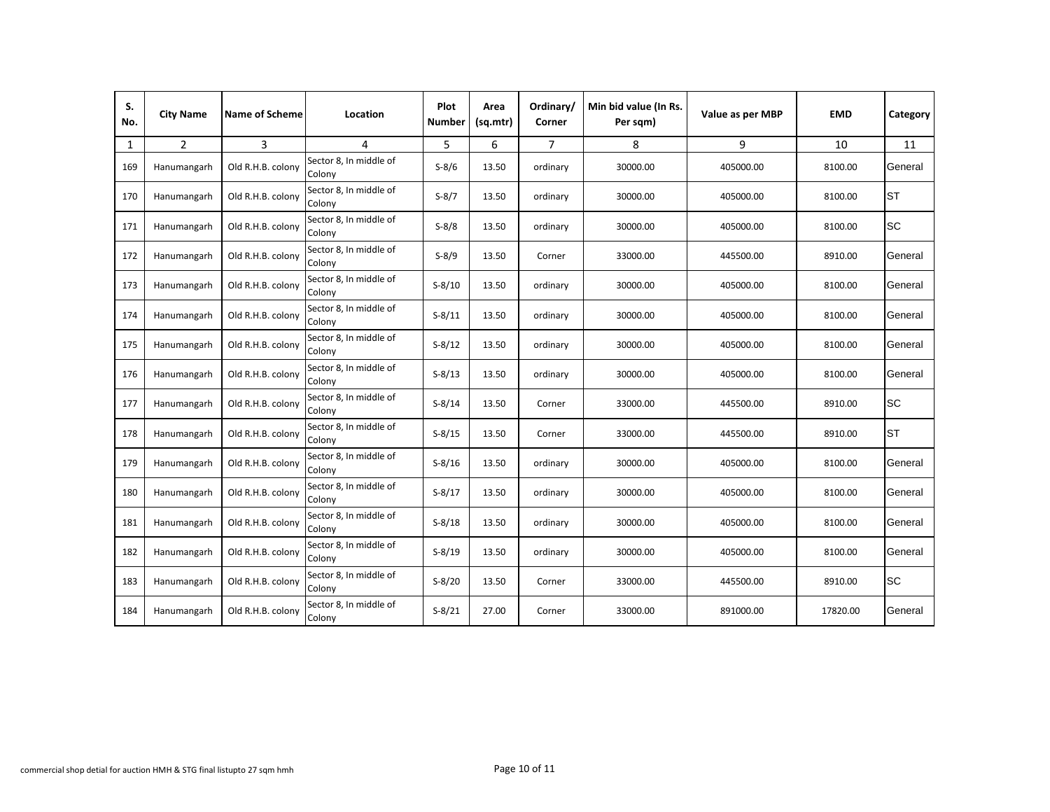| S.<br>No. | <b>City Name</b> | <b>Name of Scheme</b> | Location                         | <b>Plot</b><br>Number | Area<br>(sq.mtr) | Ordinary/<br>Corner | Min bid value (In Rs.<br>Per sqm) | Value as per MBP | <b>EMD</b> | Category  |
|-----------|------------------|-----------------------|----------------------------------|-----------------------|------------------|---------------------|-----------------------------------|------------------|------------|-----------|
| 1         | $\overline{2}$   | 3                     | 4                                | 5                     | 6                | $\overline{7}$      | 8                                 | 9                | 10         | 11        |
| 169       | Hanumangarh      | Old R.H.B. colony     | Sector 8, In middle of<br>Colony | $S-8/6$               | 13.50            | ordinary            | 30000.00                          | 405000.00        | 8100.00    | General   |
| 170       | Hanumangarh      | Old R.H.B. colony     | Sector 8, In middle of<br>Colony | $S-8/7$               | 13.50            | ordinary            | 30000.00                          | 405000.00        | 8100.00    | <b>ST</b> |
| 171       | Hanumangarh      | Old R.H.B. colony     | Sector 8, In middle of<br>Colony | $S-8/8$               | 13.50            | ordinary            | 30000.00                          | 405000.00        | 8100.00    | <b>SC</b> |
| 172       | Hanumangarh      | Old R.H.B. colony     | Sector 8, In middle of<br>Colony | $S-8/9$               | 13.50            | Corner              | 33000.00                          | 445500.00        | 8910.00    | General   |
| 173       | Hanumangarh      | Old R.H.B. colony     | Sector 8, In middle of<br>Colony | $S-8/10$              | 13.50            | ordinary            | 30000.00                          | 405000.00        | 8100.00    | General   |
| 174       | Hanumangarh      | Old R.H.B. colony     | Sector 8, In middle of<br>Colony | $S-8/11$              | 13.50            | ordinary            | 30000.00                          | 405000.00        | 8100.00    | General   |
| 175       | Hanumangarh      | Old R.H.B. colony     | Sector 8, In middle of<br>Colony | $S-8/12$              | 13.50            | ordinary            | 30000.00                          | 405000.00        | 8100.00    | General   |
| 176       | Hanumangarh      | Old R.H.B. colony     | Sector 8, In middle of<br>Colony | $S-8/13$              | 13.50            | ordinary            | 30000.00                          | 405000.00        | 8100.00    | General   |
| 177       | Hanumangarh      | Old R.H.B. colony     | Sector 8, In middle of<br>Colony | $S-8/14$              | 13.50            | Corner              | 33000.00                          | 445500.00        | 8910.00    | <b>SC</b> |
| 178       | Hanumangarh      | Old R.H.B. colony     | Sector 8, In middle of<br>Colony | $S-8/15$              | 13.50            | Corner              | 33000.00                          | 445500.00        | 8910.00    | <b>ST</b> |
| 179       | Hanumangarh      | Old R.H.B. colony     | Sector 8, In middle of<br>Colony | $S-8/16$              | 13.50            | ordinary            | 30000.00                          | 405000.00        | 8100.00    | General   |
| 180       | Hanumangarh      | Old R.H.B. colony     | Sector 8, In middle of<br>Colony | $S-8/17$              | 13.50            | ordinary            | 30000.00                          | 405000.00        | 8100.00    | General   |
| 181       | Hanumangarh      | Old R.H.B. colony     | Sector 8, In middle of<br>Colony | $S-8/18$              | 13.50            | ordinary            | 30000.00                          | 405000.00        | 8100.00    | General   |
| 182       | Hanumangarh      | Old R.H.B. colony     | Sector 8, In middle of<br>Colony | $S-8/19$              | 13.50            | ordinary            | 30000.00                          | 405000.00        | 8100.00    | General   |
| 183       | Hanumangarh      | Old R.H.B. colony     | Sector 8, In middle of<br>Colony | $S-8/20$              | 13.50            | Corner              | 33000.00                          | 445500.00        | 8910.00    | <b>SC</b> |
| 184       | Hanumangarh      | Old R.H.B. colony     | Sector 8, In middle of<br>Colony | $S-8/21$              | 27.00            | Corner              | 33000.00                          | 891000.00        | 17820.00   | General   |